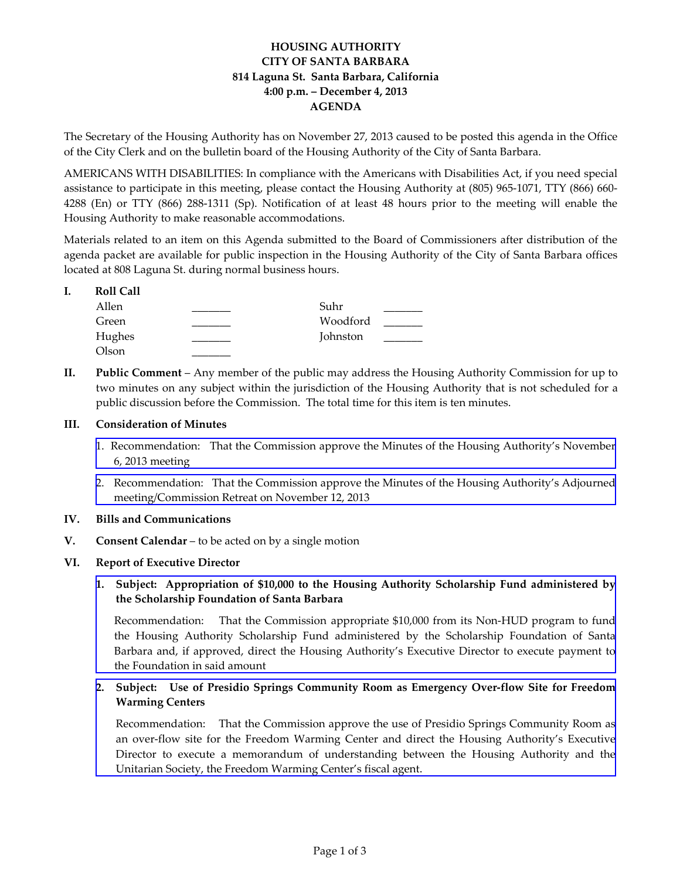# **HOUSING AUTHORITY CITY OF SANTA BARBARA 814 Laguna St. Santa Barbara, California 4:00 p.m. – December 4, 2013 AGENDA**

The Secretary of the Housing Authority has on November 27, 2013 caused to be posted this agenda in the Office of the City Clerk and on the bulletin board of the Housing Authority of the City of Santa Barbara.

AMERICANS WITH DISABILITIES: In compliance with the Americans with Disabilities Act, if you need special assistance to participate in this meeting, please contact the Housing Authority at (805) 965‐1071, TTY (866) 660‐ 4288 (En) or TTY (866) 288‐1311 (Sp). Notification of at least 48 hours prior to the meeting will enable the Housing Authority to make reasonable accommodations.

Materials related to an item on this Agenda submitted to the Board of Commissioners after distribution of the agenda packet are available for public inspection in the Housing Authority of the City of Santa Barbara offices located at 808 Laguna St. during normal business hours.

#### **I. Roll Call**

| Allen  | Suhr     |  |
|--------|----------|--|
| Green  | Woodford |  |
| Hughes | Johnston |  |
| Olson  |          |  |

**II. Public Comment** – Any member of the public may address the Housing Authority Commission for up to two minutes on any subject within the jurisdiction of the Housing Authority that is not scheduled for a public discussion before the Commission. The total time for this item is ten minutes.

## **III. Consideration of Minutes**

- 1. [Recommendation:](http://www.hacsb.org/Library/agendas_minutes/2013/agenda_packet/Agenda_Packet_2013_12_04/item_III_I_2013_12_04.pdf) That the Commission approve the Minutes of the Housing Authority's November 6, 2013 meeting
- 2. Recommendation: That the Commission approve the Minutes of the Housing Authority's Adjourned [meeting/Commission](http://www.hacsb.org/Library/agendas_minutes/2013/agenda_packet/Agenda_Packet_2013_12_04/item_III_II_2013_12_04.pdf) Retreat on November 12, 2013

## **IV. Bills and Communications**

**V. Consent Calendar** – to be acted on by a single motion

## **VI. Report of Executive Director**

**1. Subject: Appropriation of \$10,000 to the Housing Authority Scholarship Fund administered by the Scholarship Foundation of Santa Barbara**

[Recommendation:](http://www.hacsb.org/Library/agendas_minutes/2013/agenda_packet/Agenda_Packet_2013_12_04/item_VI_I_2013_12_04.pdf) That the Commission appropriate \$10,000 from its Non-HUD program to fund the Housing Authority Scholarship Fund administered by the Scholarship Foundation of Santa Barbara and, if approved, direct the Housing Authority's Executive Director to execute payment to the Foundation in said amount

## **2. Subject: Use of Presidio Springs Community Room as Emergency Over‐flow Site for Freedom Warming Centers**

[Recommendation:](http://www.hacsb.org/Library/agendas_minutes/2013/agenda_packet/Agenda_Packet_2013_12_04/item_VI_II_2013_12_04.pdf) That the Commission approve the use of Presidio Springs Community Room as an over‐flow site for the Freedom Warming Center and direct the Housing Authority's Executive Director to execute a memorandum of understanding between the Housing Authority and the Unitarian Society, the Freedom Warming Center's fiscal agent.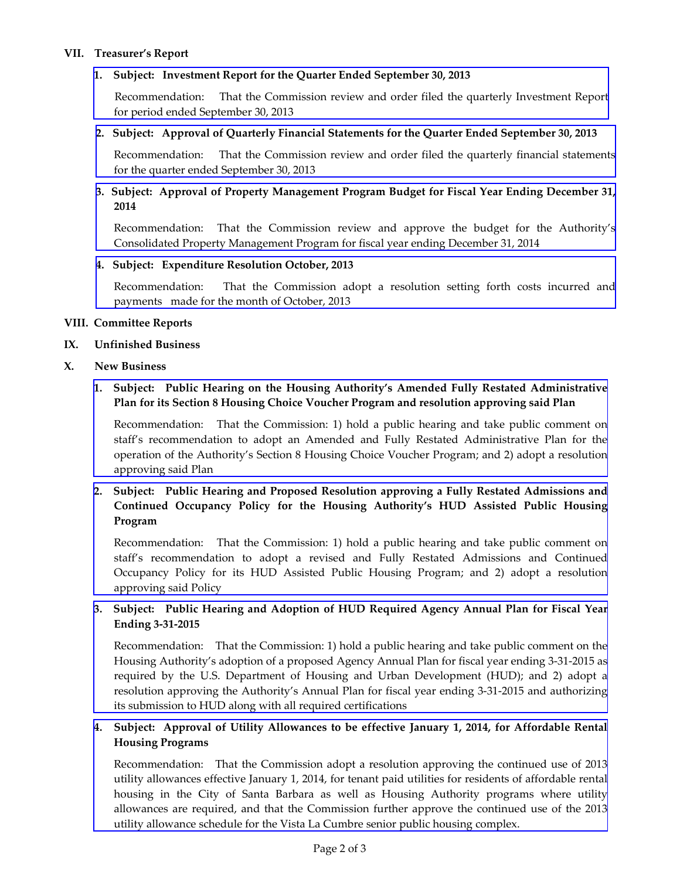#### **VII. Treasurer's Report**

#### **1. Subject: Investment Report for the Quarter Ended September 30, 2013**

 [Recommendation:](http://www.hacsb.org/Library/agendas_minutes/2013/agenda_packet/Agenda_Packet_2013_12_04/item_VII_I_2013_12_04.pdf) That the Commission review and order filed the quarterly Investment Report for period ended September 30, 2013

#### **2. Subject: Approval of Quarterly Financial Statements for the Quarter Ended September 30, 2013**

[Recommendation:](http://www.hacsb.org/Library/agendas_minutes/2013/agenda_packet/Agenda_Packet_2013_12_04/item_VII_II_2013_12_04.pdf) That the Commission review and order filed the quarterly financial statements for the quarter ended September 30, 2013

## **3. Subject: Approval of Property Management Program Budget for Fiscal Year Ending December 31, 2014**

[Recommendation:](http://www.hacsb.org/Library/agendas_minutes/2013/agenda_packet/Agenda_Packet_2013_12_04/item_VII_III_2013_12_04.pdf) That the Commission review and approve the budget for the Authority's Consolidated Property Management Program for fiscal year ending December 31, 2014

#### **4. Subject: Expenditure Resolution October, 2013**

[Recommendation:](http://www.hacsb.org/Library/agendas_minutes/2013/agenda_packet/Agenda_Packet_2013_12_04/item_VII_IV_2013_12_04.pdf) That the Commission adopt a resolution setting forth costs incurred and payments made for the month of October, 2013

#### **VIII. Committee Reports**

#### **IX. Unfinished Business**

#### **X. New Business**

## **1. Subject: Public Hearing on the Housing Authority's Amended Fully Restated Administrative Plan for its Section 8 Housing Choice Voucher Program and resolution approving said Plan**

[Recommendation:](http://www.hacsb.org/Library/agendas_minutes/2013/agenda_packet/Agenda_Packet_2013_12_04/item_X_I_2013_12_04.pdf) That the Commission: 1) hold a public hearing and take public comment on staff's recommendation to adopt an Amended and Fully Restated Administrative Plan for the operation of the Authority's Section 8 Housing Choice Voucher Program; and 2) adopt a resolution approving said Plan

# **2. Subject: Public Hearing and Proposed Resolution approving a Fully Restated Admissions and Continued Occupancy Policy for the Housing Authority's HUD Assisted Public Housing Program**

[Recommendation:](http://www.hacsb.org/Library/agendas_minutes/2013/agenda_packet/Agenda_Packet_2013_12_04/item_X_II_2013_12_04.pdf) That the Commission: 1) hold a public hearing and take public comment on staff's recommendation to adopt a revised and Fully Restated Admissions and Continued Occupancy Policy for its HUD Assisted Public Housing Program; and 2) adopt a resolution approving said Policy

## **3. Subject: Public Hearing and Adoption of HUD Required Agency Annual Plan for Fiscal Year Ending 3‐31‐2015**

[Recommendation:](http://www.hacsb.org/cm/news-and-reports/FY2014HUDPlan.html)That the Commission: 1) hold a public hearing and take public comment on the Housing Authority's adoption of a proposed Agency Annual Plan for fiscal year ending 3‐31‐2015 as required by the U.S. Department of Housing and Urban Development (HUD); and 2) adopt a resolution approving the Authority's Annual Plan for fiscal year ending 3‐31‐2015 and authorizing its submission to HUD along with all required certifications

## **4. Subject: Approval of Utility Allowances to be effective January 1, 2014, for Affordable Rental Housing Programs**

[Recommendation:](http://www.hacsb.org/Library/agendas_minutes/2013/agenda_packet/Agenda_Packet_2013_12_04/item_X_IV_2013_12_04.pdf) That the Commission adopt a resolution approving the continued use of 2013 utility allowances effective January 1, 2014, for tenant paid utilities for residents of affordable rental housing in the City of Santa Barbara as well as Housing Authority programs where utility allowances are required, and that the Commission further approve the continued use of the 2013 utility allowance schedule for the Vista La Cumbre senior public housing complex.